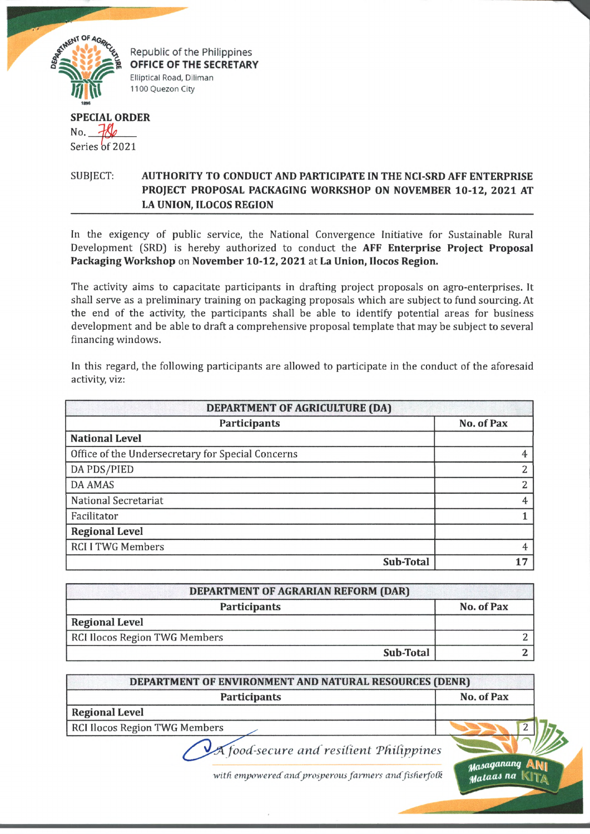

Republic of the Philippines **OFFICE OF THE SECRETARY** Elliptical Road, Diliman 1100 Quezon City

## **SPECIAL ORDER**  $N_{0}$ ,  $\mathcal{H}_{0}$

Series of 2021

## SUBJECT: **AUTHORITY TO CONDUCT AND PARTICIPATE IN THE NCI-SRD AFF ENTERPRISE PROJECT PROPOSAL PACKAGING WORKSHOP ON NOVEMBER 10-12, 2021 AT LA UNION, ILOCOS REGION**

In the exigency of public service, the National Convergence Initiative for Sustainable Rural Development (SRD) is hereby authorized to conduct the **AFF Enterprise Project Proposal Packaging Workshop** on **November 10-12, 2021** at **La Union, Uocos Region.**

The activity aims to capacitate participants in drafting project proposals on agro-enterprises. It shall serve as a preliminary training on packaging proposals which are subject to fund sourcing. At the end of the activity, the participants shall be able to identify potential areas for business development and be able to draft a comprehensive proposal template that may be subject to several financing windows.

In this regard, the following participants are allowed to participate in the conduct of the aforesaid activity, viz:

| DEPARTMENT OF AGRICULTURE (DA)                    |            |
|---------------------------------------------------|------------|
| <b>Participants</b>                               | No. of Pax |
| <b>National Level</b>                             |            |
| Office of the Undersecretary for Special Concerns |            |
| DA PDS/PIED                                       | 2          |
| <b>DA AMAS</b>                                    | っ          |
| National Secretariat                              | 4          |
| Facilitator                                       |            |
| <b>Regional Level</b>                             |            |
| <b>RCI I TWG Members</b>                          | 4          |
| Sub-Total                                         | 17         |

| <b>DEPARTMENT OF AGRARIAN REFORM (DAR)</b> |            |
|--------------------------------------------|------------|
| Participants                               | No. of Pax |
| <b>Regional Level</b>                      |            |
| RCI Ilocos Region TWG Members              |            |
| Sub-Total                                  |            |

| DEPARTMENT OF ENVIRONMENT AND NATURAL RESOURCES (DENR) |                       |
|--------------------------------------------------------|-----------------------|
| <b>Participants</b>                                    | No. of Pax            |
| <b>Regional Level</b>                                  |                       |
| <b>RCI Ilocos Region TWG Members</b>                   |                       |
|                                                        | $\sqrt{2}$ $\sqrt{2}$ |

*<i>/A food secure and resilient Philippines* 

with empowered and prosperous farmers and fisherfolk **and Late and Ra**